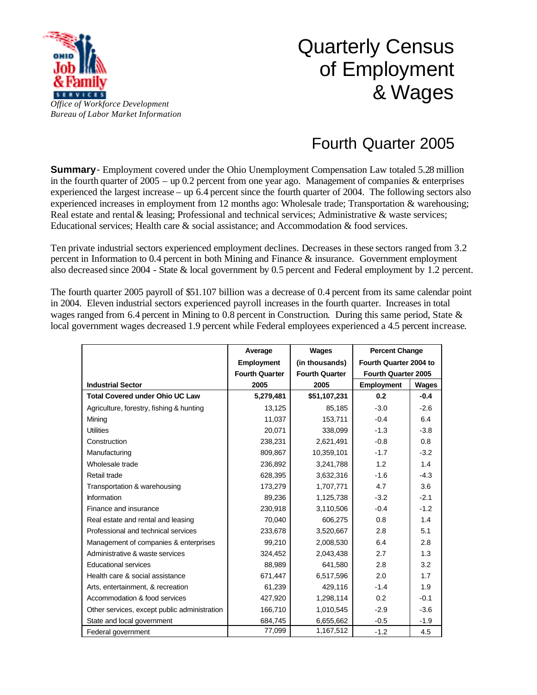

## Quarterly Census of Employment & Wages

## Fourth Quarter 2005

**Summary**- Employment covered under the Ohio Unemployment Compensation Law totaled 5.28 million in the fourth quarter of  $2005 -$  up 0.2 percent from one year ago. Management of companies & enterprises experienced the largest increase – up 6.4 percent since the fourth quarter of 2004. The following sectors also experienced increases in employment from 12 months ago: Wholesale trade; Transportation & warehousing; Real estate and rental & leasing; Professional and technical services; Administrative & waste services; Educational services; Health care & social assistance; and Accommodation & food services.

Ten private industrial sectors experienced employment declines. Decreases in these sectors ranged from 3.2 percent in Information to 0.4 percent in both Mining and Finance & insurance. Government employment also decreased since 2004 - State & local government by 0.5 percent and Federal employment by 1.2 percent.

The fourth quarter 2005 payroll of \$51.107 billion was a decrease of 0.4 percent from its same calendar point in 2004. Eleven industrial sectors experienced payroll increases in the fourth quarter. Increases in total wages ranged from 6.4 percent in Mining to 0.8 percent in Construction. During this same period, State & local government wages decreased 1.9 percent while Federal employees experienced a 4.5 percent increase.

|                                              | Average               | Wages                 | <b>Percent Change</b>      |        |
|----------------------------------------------|-----------------------|-----------------------|----------------------------|--------|
|                                              | <b>Employment</b>     | (in thousands)        | Fourth Quarter 2004 to     |        |
|                                              | <b>Fourth Quarter</b> | <b>Fourth Quarter</b> | <b>Fourth Quarter 2005</b> |        |
| <b>Industrial Sector</b>                     | 2005                  | 2005                  | <b>Employment</b>          | Wages  |
| <b>Total Covered under Ohio UC Law</b>       | 5,279,481             | \$51,107,231          | 0.2                        | $-0.4$ |
| Agriculture, forestry, fishing & hunting     | 13,125                | 85,185                | $-3.0$                     | $-2.6$ |
| Mining                                       | 11,037                | 153,711               | $-0.4$                     | 6.4    |
| <b>Utilities</b>                             | 20.071                | 338,099               | $-1.3$                     | $-3.8$ |
| Construction                                 | 238,231               | 2,621,491             | $-0.8$                     | 0.8    |
| Manufacturing                                | 809,867               | 10,359,101            | $-1.7$                     | $-3.2$ |
| Wholesale trade                              | 236,892               | 3,241,788             | 1.2                        | 1.4    |
| Retail trade                                 | 628,395               | 3,632,316             | $-1.6$                     | $-4.3$ |
| Transportation & warehousing                 | 173,279               | 1,707,771             | 4.7                        | 3.6    |
| <b>Information</b>                           | 89,236                | 1,125,738             | $-3.2$                     | $-2.1$ |
| Finance and insurance                        | 230,918               | 3,110,506             | $-0.4$                     | $-1.2$ |
| Real estate and rental and leasing           | 70,040                | 606,275               | 0.8                        | 1.4    |
| Professional and technical services          | 233,678               | 3,520,667             | 2.8                        | 5.1    |
| Management of companies & enterprises        | 99,210                | 2,008,530             | 6.4                        | 2.8    |
| Administrative & waste services              | 324,452               | 2,043,438             | 2.7                        | 1.3    |
| <b>Educational services</b>                  | 88,989                | 641,580               | 2.8                        | 3.2    |
| Health care & social assistance              | 671,447               | 6,517,596             | 2.0                        | 1.7    |
| Arts, entertainment, & recreation            | 61,239                | 429,116               | $-1.4$                     | 1.9    |
| Accommodation & food services                | 427,920               | 1,298,114             | 0.2                        | $-0.1$ |
| Other services, except public administration | 166,710               | 1,010,545             | $-2.9$                     | $-3.6$ |
| State and local government                   | 684,745               | 6,655,662             | $-0.5$                     | $-1.9$ |
| Federal government                           | 77,099                | 1,167,512             | $-1.2$                     | 4.5    |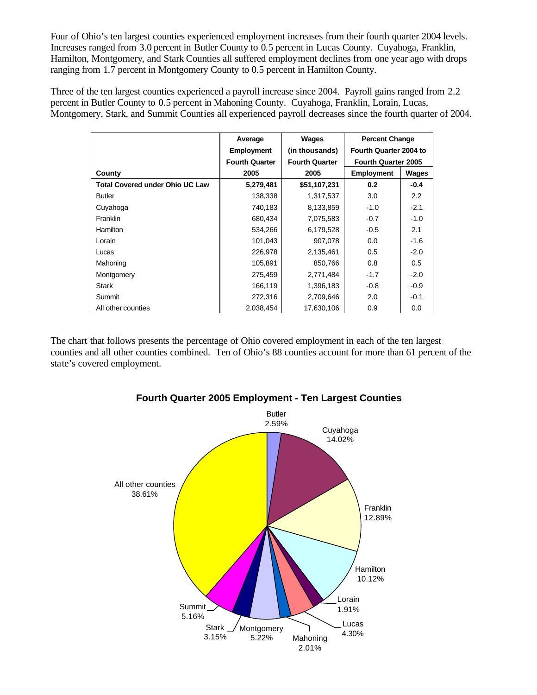Four of Ohio's ten largest counties experienced employment increases from their fourth quarter 2004 levels. Increases ranged from 3.0 percent in Butler County to 0.5 percent in Lucas County. Cuyahoga, Franklin, Hamilton, Montgomery, and Stark Counties all suffered employment declines from one year ago with drops ranging from 1.7 percent in Montgomery County to 0.5 percent in Hamilton County.

Three of the ten largest counties experienced a payroll increase since 2004. Payroll gains ranged from 2.2 percent in Butler County to 0.5 percent in Mahoning County. Cuyahoga, Franklin, Lorain, Lucas, Montgomery, Stark, and Summit Counties all experienced payroll decreases since the fourth quarter of 2004.

|                                        | Average               | Wages                 | <b>Percent Change</b>      |        |
|----------------------------------------|-----------------------|-----------------------|----------------------------|--------|
|                                        | <b>Employment</b>     | (in thousands)        | Fourth Quarter 2004 to     |        |
|                                        | <b>Fourth Quarter</b> | <b>Fourth Quarter</b> | <b>Fourth Quarter 2005</b> |        |
| County                                 | 2005                  | 2005                  | <b>Employment</b>          | Wages  |
| <b>Total Covered under Ohio UC Law</b> | 5,279,481             | \$51,107,231          | 0.2                        | $-0.4$ |
| <b>Butler</b>                          | 138,338               | 1,317,537             | 3.0                        | 2.2    |
| Cuyahoga                               | 740,183               | 8,133,859             | $-1.0$                     | $-2.1$ |
| Franklin                               | 680,434               | 7,075,583             | $-0.7$                     | $-1.0$ |
| <b>Hamilton</b>                        | 534,266               | 6,179,528             | $-0.5$                     | 2.1    |
| Lorain                                 | 101,043               | 907.078               | 0.0                        | $-1.6$ |
| Lucas                                  | 226,978               | 2,135,461             | 0.5                        | $-2.0$ |
| Mahoning                               | 105,891               | 850,766               | 0.8                        | 0.5    |
| Montgomery                             | 275,459               | 2,771,484             | $-1.7$                     | $-2.0$ |
| Stark                                  | 166,119               | 1,396,183             | $-0.8$                     | $-0.9$ |
| Summit                                 | 272,316               | 2,709,646             | 2.0                        | $-0.1$ |
| All other counties                     | 2.038.454             | 17,630,106            | 0.9                        | 0.0    |

The chart that follows presents the percentage of Ohio covered employment in each of the ten largest counties and all other counties combined. Ten of Ohio's 88 counties account for more than 61 percent of the state's covered employment.



## **Fourth Quarter 2005 Employment - Ten Largest Counties**